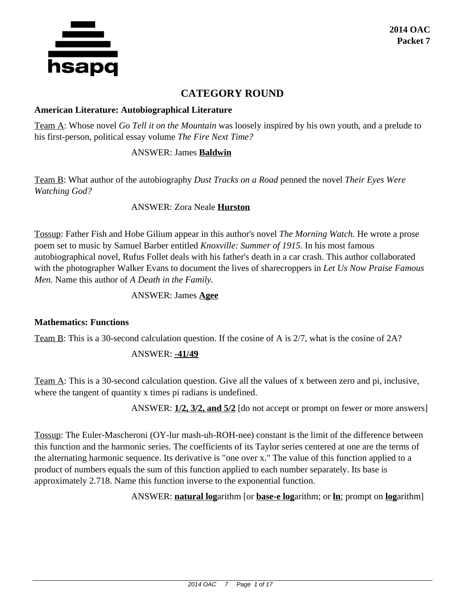

# **CATEGORY ROUND**

#### **American Literature: Autobiographical Literature**

Team A: Whose novel *Go Tell it on the Mountain* was loosely inspired by his own youth, and a prelude to his first-person, political essay volume *The Fire Next Time?*

### ANSWER: James **Baldwin**

Team B: What author of the autobiography *Dust Tracks on a Road* penned the novel *Their Eyes Were Watching God?*

ANSWER: Zora Neale **Hurston**

Tossup: Father Fish and Hobe Gilium appear in this author's novel *The Morning Watch.* He wrote a prose poem set to music by Samuel Barber entitled *Knoxville: Summer of 1915.* In his most famous autobiographical novel, Rufus Follet deals with his father's death in a car crash. This author collaborated with the photographer Walker Evans to document the lives of sharecroppers in *Let Us Now Praise Famous Men.* Name this author of *A Death in the Family.*

#### ANSWER: James **Agee**

#### **Mathematics: Functions**

Team B: This is a 30-second calculation question. If the cosine of A is 2/7, what is the cosine of 2A?

#### ANSWER: **-41/49**

Team A: This is a 30-second calculation question. Give all the values of x between zero and pi, inclusive, where the tangent of quantity x times pi radians is undefined.

ANSWER: **1/2, 3/2, and 5/2** [do not accept or prompt on fewer or more answers]

Tossup: The Euler-Mascheroni (OY-lur mash-uh-ROH-nee) constant is the limit of the difference between this function and the harmonic series. The coefficients of its Taylor series centered at one are the terms of the alternating harmonic sequence. Its derivative is "one over x." The value of this function applied to a product of numbers equals the sum of this function applied to each number separately. Its base is approximately 2.718. Name this function inverse to the exponential function.

ANSWER: **natural log**arithm [or **base-e log**arithm; or **ln**; prompt on **log**arithm]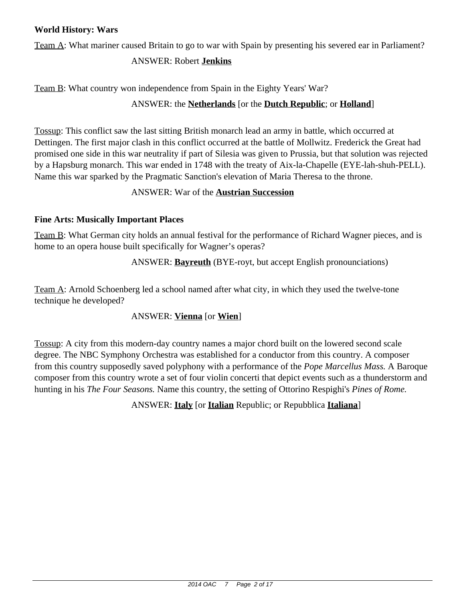# **World History: Wars**

Team A: What mariner caused Britain to go to war with Spain by presenting his severed ear in Parliament?

# ANSWER: Robert **Jenkins**

Team B: What country won independence from Spain in the Eighty Years' War?

# ANSWER: the **Netherlands** [or the **Dutch Republic**; or **Holland**]

Tossup: This conflict saw the last sitting British monarch lead an army in battle, which occurred at Dettingen. The first major clash in this conflict occurred at the battle of Mollwitz. Frederick the Great had promised one side in this war neutrality if part of Silesia was given to Prussia, but that solution was rejected by a Hapsburg monarch. This war ended in 1748 with the treaty of Aix-la-Chapelle (EYE-lah-shuh-PELL). Name this war sparked by the Pragmatic Sanction's elevation of Maria Theresa to the throne.

# ANSWER: War of the **Austrian Succession**

# **Fine Arts: Musically Important Places**

Team B: What German city holds an annual festival for the performance of Richard Wagner pieces, and is home to an opera house built specifically for Wagner's operas?

# ANSWER: **Bayreuth** (BYE-royt, but accept English pronounciations)

Team A: Arnold Schoenberg led a school named after what city, in which they used the twelve-tone technique he developed?

# ANSWER: **Vienna** [or **Wien**]

Tossup: A city from this modern-day country names a major chord built on the lowered second scale degree. The NBC Symphony Orchestra was established for a conductor from this country. A composer from this country supposedly saved polyphony with a performance of the *Pope Marcellus Mass.* A Baroque composer from this country wrote a set of four violin concerti that depict events such as a thunderstorm and hunting in his *The Four Seasons.* Name this country, the setting of Ottorino Respighi's *Pines of Rome.*

ANSWER: **Italy** [or **Italian** Republic; or Repubblica **Italiana**]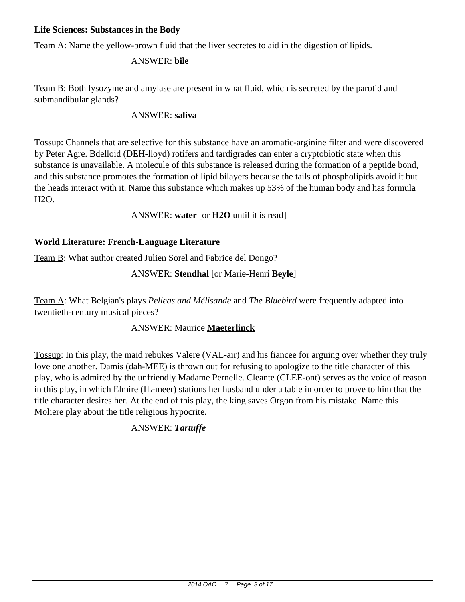### **Life Sciences: Substances in the Body**

Team A: Name the yellow-brown fluid that the liver secretes to aid in the digestion of lipids.

# ANSWER: **bile**

Team B: Both lysozyme and amylase are present in what fluid, which is secreted by the parotid and submandibular glands?

# ANSWER: **saliva**

Tossup: Channels that are selective for this substance have an aromatic-arginine filter and were discovered by Peter Agre. Bdelloid (DEH-lloyd) rotifers and tardigrades can enter a cryptobiotic state when this substance is unavailable. A molecule of this substance is released during the formation of a peptide bond, and this substance promotes the formation of lipid bilayers because the tails of phospholipids avoid it but the heads interact with it. Name this substance which makes up 53% of the human body and has formula H2O.

ANSWER: **water** [or **H2O** until it is read]

# **World Literature: French-Language Literature**

Team B: What author created Julien Sorel and Fabrice del Dongo?

# ANSWER: **Stendhal** [or Marie-Henri **Beyle**]

Team A: What Belgian's plays *Pelleas and Mélisande* and *The Bluebird* were frequently adapted into twentieth-century musical pieces?

# ANSWER: Maurice **Maeterlinck**

Tossup: In this play, the maid rebukes Valere (VAL-air) and his fiancee for arguing over whether they truly love one another. Damis (dah-MEE) is thrown out for refusing to apologize to the title character of this play, who is admired by the unfriendly Madame Pernelle. Cleante (CLEE-ont) serves as the voice of reason in this play, in which Elmire (IL-meer) stations her husband under a table in order to prove to him that the title character desires her. At the end of this play, the king saves Orgon from his mistake. Name this Moliere play about the title religious hypocrite.

# ANSWER: *Tartuffe*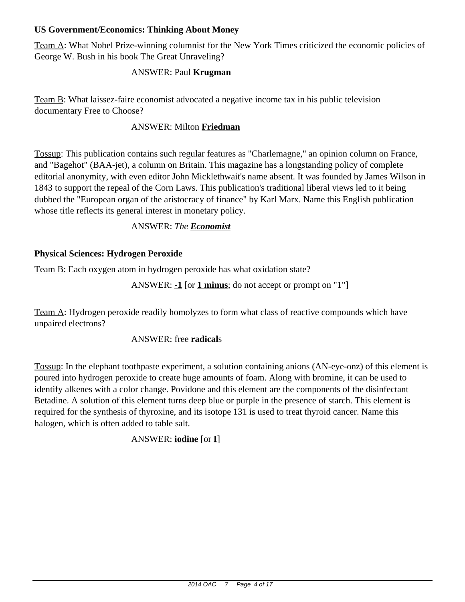# **US Government/Economics: Thinking About Money**

Team A: What Nobel Prize-winning columnist for the New York Times criticized the economic policies of George W. Bush in his book The Great Unraveling?

# ANSWER: Paul **Krugman**

Team B: What laissez-faire economist advocated a negative income tax in his public television documentary Free to Choose?

# ANSWER: Milton **Friedman**

Tossup: This publication contains such regular features as "Charlemagne," an opinion column on France, and "Bagehot" (BAA-jet), a column on Britain. This magazine has a longstanding policy of complete editorial anonymity, with even editor John Micklethwait's name absent. It was founded by James Wilson in 1843 to support the repeal of the Corn Laws. This publication's traditional liberal views led to it being dubbed the "European organ of the aristocracy of finance" by Karl Marx. Name this English publication whose title reflects its general interest in monetary policy.

# ANSWER: *The Economist*

# **Physical Sciences: Hydrogen Peroxide**

Team B: Each oxygen atom in hydrogen peroxide has what oxidation state?

ANSWER: **-1** [or **1 minus**; do not accept or prompt on "1"]

Team A: Hydrogen peroxide readily homolyzes to form what class of reactive compounds which have unpaired electrons?

#### ANSWER: free **radical**s

Tossup: In the elephant toothpaste experiment, a solution containing anions (AN-eye-onz) of this element is poured into hydrogen peroxide to create huge amounts of foam. Along with bromine, it can be used to identify alkenes with a color change. Povidone and this element are the components of the disinfectant Betadine. A solution of this element turns deep blue or purple in the presence of starch. This element is required for the synthesis of thyroxine, and its isotope 131 is used to treat thyroid cancer. Name this halogen, which is often added to table salt.

# ANSWER: **iodine** [or **I**]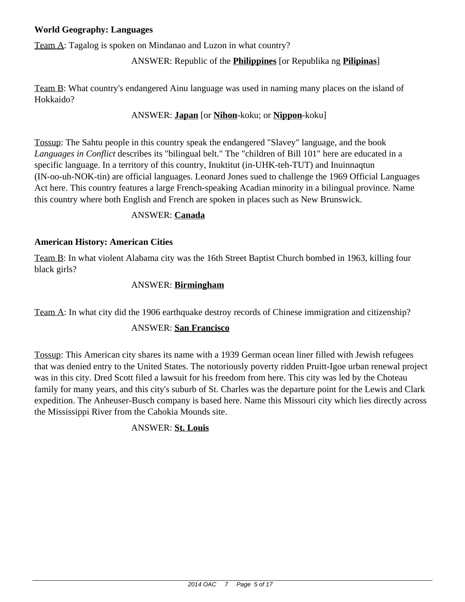# **World Geography: Languages**

Team A: Tagalog is spoken on Mindanao and Luzon in what country?

# ANSWER: Republic of the **Philippines** [or Republika ng **Pilipinas**]

Team B: What country's endangered Ainu language was used in naming many places on the island of Hokkaido?

# ANSWER: **Japan** [or **Nihon**-koku; or **Nippon**-koku]

Tossup: The Sahtu people in this country speak the endangered "Slavey" language, and the book *Languages in Conflict* describes its "bilingual belt." The "children of Bill 101" here are educated in a specific language. In a territory of this country, Inuktitut (in-UHK-teh-TUT) and Inuinnaqtun (IN-oo-uh-NOK-tin) are official languages. Leonard Jones sued to challenge the 1969 Official Languages Act here. This country features a large French-speaking Acadian minority in a bilingual province. Name this country where both English and French are spoken in places such as New Brunswick.

#### ANSWER: **Canada**

#### **American History: American Cities**

Team B: In what violent Alabama city was the 16th Street Baptist Church bombed in 1963, killing four black girls?

#### ANSWER: **Birmingham**

Team A: In what city did the 1906 earthquake destroy records of Chinese immigration and citizenship?

#### ANSWER: **San Francisco**

Tossup: This American city shares its name with a 1939 German ocean liner filled with Jewish refugees that was denied entry to the United States. The notoriously poverty ridden Pruitt-Igoe urban renewal project was in this city. Dred Scott filed a lawsuit for his freedom from here. This city was led by the Choteau family for many years, and this city's suburb of St. Charles was the departure point for the Lewis and Clark expedition. The Anheuser-Busch company is based here. Name this Missouri city which lies directly across the Mississippi River from the Cahokia Mounds site.

#### ANSWER: **St. Louis**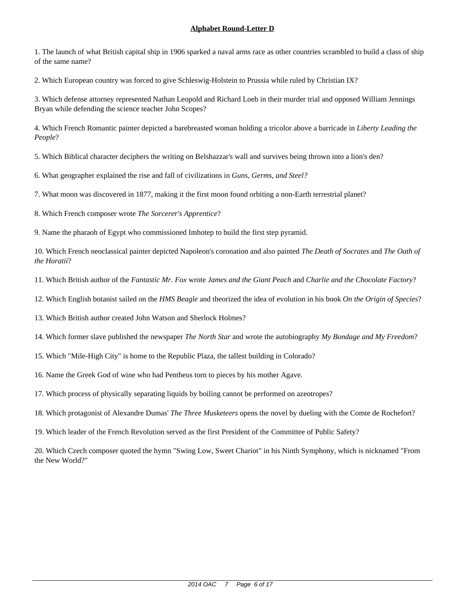1. The launch of what British capital ship in 1906 sparked a naval arms race as other countries scrambled to build a class of ship of the same name?

2. Which European country was forced to give Schleswig-Holstein to Prussia while ruled by Christian IX?

3. Which defense attorney represented Nathan Leopold and Richard Loeb in their murder trial and opposed William Jennings Bryan while defending the science teacher John Scopes?

4. Which French Romantic painter depicted a barebreasted woman holding a tricolor above a barricade in *Liberty Leading the People*?

5. Which Biblical character deciphers the writing on Belshazzar's wall and survives being thrown into a lion's den?

6. What geographer explained the rise and fall of civilizations in *Guns, Germs, and Steel?*

7. What moon was discovered in 1877, making it the first moon found orbiting a non-Earth terrestrial planet?

8. Which French composer wrote *The Sorcerer's Apprentice*?

9. Name the pharaoh of Egypt who commissioned Imhotep to build the first step pyramid.

10. Which French neoclassical painter depicted Napoleon's coronation and also painted *The Death of Socrates* and *The Oath of the Horatii*?

11. Which British author of the *Fantastic Mr. Fox* wrote *James and the Giant Peach* and *Charlie and the Chocolate Factory*?

12. Which English botanist sailed on the *HMS Beagle* and theorized the idea of evolution in his book *On the Origin of Species*?

13. Which British author created John Watson and Sherlock Holmes?

14. Which former slave published the newspaper *The North Star* and wrote the autobiography *My Bondage and My Freedom*?

15. Which "Mile-High City" is home to the Republic Plaza, the tallest building in Colorado?

16. Name the Greek God of wine who had Pentheus torn to pieces by his mother Agave.

17. Which process of physically separating liquids by boiling cannot be performed on azeotropes?

18. Which protagonist of Alexandre Dumas' *The Three Musketeers* opens the novel by dueling with the Comte de Rochefort?

19. Which leader of the French Revolution served as the first President of the Committee of Public Safety?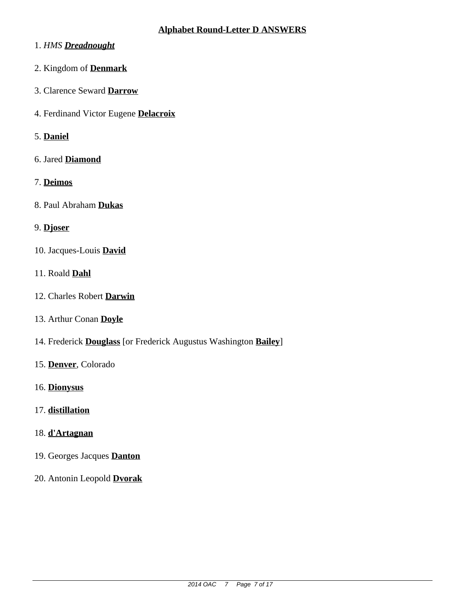- 1. *HMS Dreadnought*
- 2. Kingdom of **Denmark**
- 3. Clarence Seward **Darrow**
- 4. Ferdinand Victor Eugene **Delacroix**
- 5. **Daniel**
- 6. Jared **Diamond**
- 7. **Deimos**
- 8. Paul Abraham **Dukas**
- 9. **Djoser**
- 10. Jacques-Louis **David**
- 11. Roald **Dahl**
- 12. Charles Robert **Darwin**
- 13. Arthur Conan **Doyle**
- 14. Frederick **Douglass** [or Frederick Augustus Washington **Bailey**]
- 15. **Denver**, Colorado
- 16. **Dionysus**
- 17. **distillation**
- 18. **d'Artagnan**
- 19. Georges Jacques **Danton**
- 20. Antonin Leopold **Dvorak**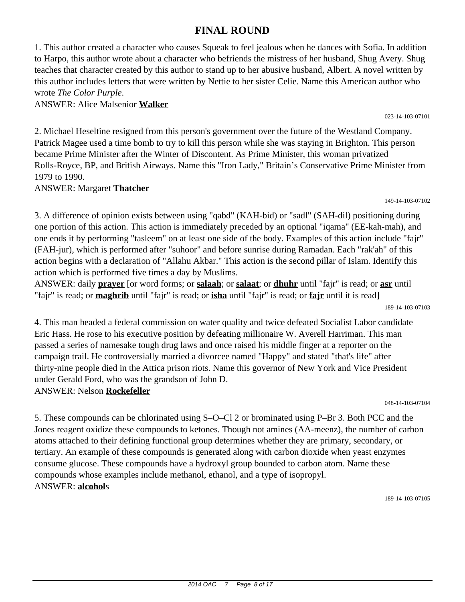# **FINAL ROUND**

1. This author created a character who causes Squeak to feel jealous when he dances with Sofia. In addition to Harpo, this author wrote about a character who befriends the mistress of her husband, Shug Avery. Shug teaches that character created by this author to stand up to her abusive husband, Albert. A novel written by this author includes letters that were written by Nettie to her sister Celie. Name this American author who wrote *The Color Purple*.

ANSWER: Alice Malsenior **Walker**

2. Michael Heseltine resigned from this person's government over the future of the Westland Company. Patrick Magee used a time bomb to try to kill this person while she was staying in Brighton. This person became Prime Minister after the Winter of Discontent. As Prime Minister, this woman privatized Rolls-Royce, BP, and British Airways. Name this "Iron Lady," Britain's Conservative Prime Minister from 1979 to 1990.

ANSWER: Margaret **Thatcher**

149-14-103-07102

3. A difference of opinion exists between using "qabd" (KAH-bid) or "sadl" (SAH-dil) positioning during one portion of this action. This action is immediately preceded by an optional "iqama" (EE-kah-mah), and one ends it by performing "tasleem" on at least one side of the body. Examples of this action include "fajr" (FAH-jur), which is performed after "suhoor" and before sunrise during Ramadan. Each "rak'ah" of this action begins with a declaration of "Allahu Akbar." This action is the second pillar of Islam. Identify this action which is performed five times a day by Muslims.

ANSWER: daily **prayer** [or word forms; or **salaah**; or **salaat**; or **dhuhr** until "fajr" is read; or **asr** until "fajr" is read; or **maghrib** until "fajr" is read; or **isha** until "fajr" is read; or **fajr** until it is read]

189-14-103-07103

4. This man headed a federal commission on water quality and twice defeated Socialist Labor candidate Eric Hass. He rose to his executive position by defeating millionaire W. Averell Harriman. This man passed a series of namesake tough drug laws and once raised his middle finger at a reporter on the campaign trail. He controversially married a divorcee named "Happy" and stated "that's life" after thirty-nine people died in the Attica prison riots. Name this governor of New York and Vice President under Gerald Ford, who was the grandson of John D. ANSWER: Nelson **Rockefeller**

048-14-103-07104

5. These compounds can be chlorinated using S–O–Cl 2 or brominated using P–Br 3. Both PCC and the Jones reagent oxidize these compounds to ketones. Though not amines (AA-meenz), the number of carbon atoms attached to their defining functional group determines whether they are primary, secondary, or tertiary. An example of these compounds is generated along with carbon dioxide when yeast enzymes consume glucose. These compounds have a hydroxyl group bounded to carbon atom. Name these compounds whose examples include methanol, ethanol, and a type of isopropyl. ANSWER: **alcohol**s

189-14-103-07105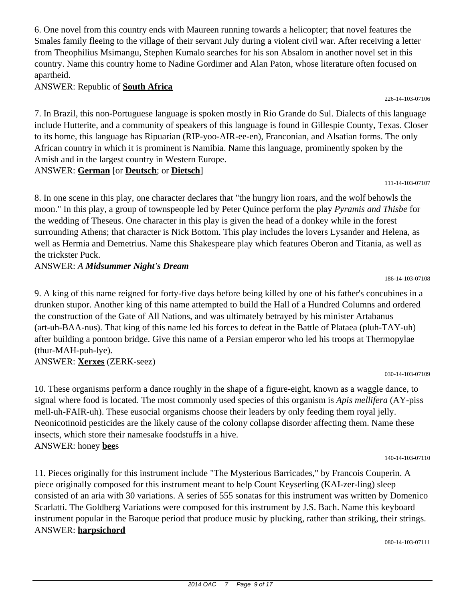6. One novel from this country ends with Maureen running towards a helicopter; that novel features the Smales family fleeing to the village of their servant July during a violent civil war. After receiving a letter from Theophilius Msimangu, Stephen Kumalo searches for his son Absalom in another novel set in this country. Name this country home to Nadine Gordimer and Alan Paton, whose literature often focused on apartheid.

ANSWER: Republic of **South Africa**

7. In Brazil, this non-Portuguese language is spoken mostly in Rio Grande do Sul. Dialects of this language include Hutterite, and a community of speakers of this language is found in Gillespie County, Texas. Closer to its home, this language has Ripuarian (RIP-yoo-AIR-ee-en), Franconian, and Alsatian forms. The only African country in which it is prominent is Namibia. Name this language, prominently spoken by the Amish and in the largest country in Western Europe.

ANSWER: **German** [or **Deutsch**; or **Dietsch**]

111-14-103-07107

186-14-103-07108

226-14-103-07106

8. In one scene in this play, one character declares that "the hungry lion roars, and the wolf behowls the moon." In this play, a group of townspeople led by Peter Quince perform the play *Pyramis and Thisbe* for the wedding of Theseus. One character in this play is given the head of a donkey while in the forest surrounding Athens; that character is Nick Bottom. This play includes the lovers Lysander and Helena, as well as Hermia and Demetrius. Name this Shakespeare play which features Oberon and Titania, as well as the trickster Puck.

ANSWER: *A Midsummer Night's Dream*

9. A king of this name reigned for forty-five days before being killed by one of his father's concubines in a drunken stupor. Another king of this name attempted to build the Hall of a Hundred Columns and ordered the construction of the Gate of All Nations, and was ultimately betrayed by his minister Artabanus (art-uh-BAA-nus). That king of this name led his forces to defeat in the Battle of Plataea (pluh-TAY-uh) after building a pontoon bridge. Give this name of a Persian emperor who led his troops at Thermopylae (thur-MAH-puh-lye).

ANSWER: **Xerxes** (ZERK-seez)

10. These organisms perform a dance roughly in the shape of a figure-eight, known as a waggle dance, to signal where food is located. The most commonly used species of this organism is *Apis mellifera* (AY-piss mell-uh-FAIR-uh). These eusocial organisms choose their leaders by only feeding them royal jelly. Neonicotinoid pesticides are the likely cause of the colony collapse disorder affecting them. Name these insects, which store their namesake foodstuffs in a hive. ANSWER: honey **bee**s

140-14-103-07110

030-14-103-07109

11. Pieces originally for this instrument include "The Mysterious Barricades," by Francois Couperin. A piece originally composed for this instrument meant to help Count Keyserling (KAI-zer-ling) sleep consisted of an aria with 30 variations. A series of 555 sonatas for this instrument was written by Domenico Scarlatti. The Goldberg Variations were composed for this instrument by J.S. Bach. Name this keyboard instrument popular in the Baroque period that produce music by plucking, rather than striking, their strings. ANSWER: **harpsichord**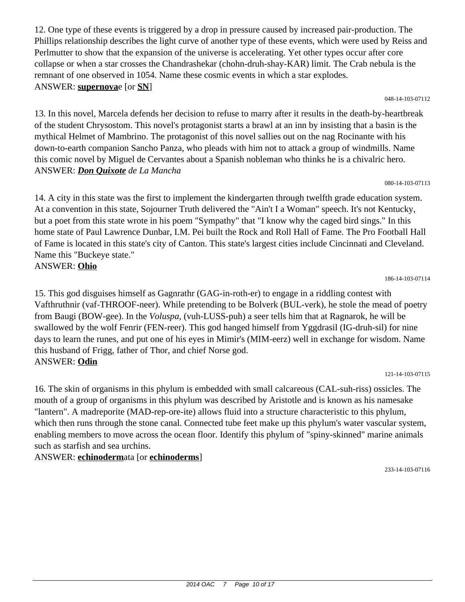12. One type of these events is triggered by a drop in pressure caused by increased pair-production. The Phillips relationship describes the light curve of another type of these events, which were used by Reiss and Perlmutter to show that the expansion of the universe is accelerating. Yet other types occur after core collapse or when a star crosses the Chandrashekar (chohn-druh-shay-KAR) limit. The Crab nebula is the remnant of one observed in 1054. Name these cosmic events in which a star explodes. ANSWER: **supernova**e [or **SN**]

048-14-103-07112

13. In this novel, Marcela defends her decision to refuse to marry after it results in the death-by-heartbreak of the student Chrysostom. This novel's protagonist starts a brawl at an inn by insisting that a basin is the mythical Helmet of Mambrino. The protagonist of this novel sallies out on the nag Rocinante with his down-to-earth companion Sancho Panza, who pleads with him not to attack a group of windmills. Name this comic novel by Miguel de Cervantes about a Spanish nobleman who thinks he is a chivalric hero. ANSWER: *Don Quixote de La Mancha*

080-14-103-07113

14. A city in this state was the first to implement the kindergarten through twelfth grade education system. At a convention in this state, Sojourner Truth delivered the "Ain't I a Woman" speech. It's not Kentucky, but a poet from this state wrote in his poem "Sympathy" that "I know why the caged bird sings." In this home state of Paul Lawrence Dunbar, I.M. Pei built the Rock and Roll Hall of Fame. The Pro Football Hall of Fame is located in this state's city of Canton. This state's largest cities include Cincinnati and Cleveland. Name this "Buckeye state." ANSWER: **Ohio**

186-14-103-07114

15. This god disguises himself as Gagnrathr (GAG-in-roth-er) to engage in a riddling contest with Vafthruthnir (vaf-THROOF-neer). While pretending to be Bolverk (BUL-verk), he stole the mead of poetry from Baugi (BOW-gee). In the *Voluspa,* (vuh-LUSS-puh) a seer tells him that at Ragnarok, he will be swallowed by the wolf Fenrir (FEN-reer). This god hanged himself from Yggdrasil (IG-druh-sil) for nine days to learn the runes, and put one of his eyes in Mimir's (MIM-eerz) well in exchange for wisdom. Name this husband of Frigg, father of Thor, and chief Norse god. ANSWER: **Odin**

121-14-103-07115

16. The skin of organisms in this phylum is embedded with small calcareous (CAL-suh-riss) ossicles. The mouth of a group of organisms in this phylum was described by Aristotle and is known as his namesake "lantern". A madreporite (MAD-rep-ore-ite) allows fluid into a structure characteristic to this phylum, which then runs through the stone canal. Connected tube feet make up this phylum's water vascular system, enabling members to move across the ocean floor. Identify this phylum of "spiny-skinned" marine animals such as starfish and sea urchins.

ANSWER: **echinoderm**ata [or **echinoderms**]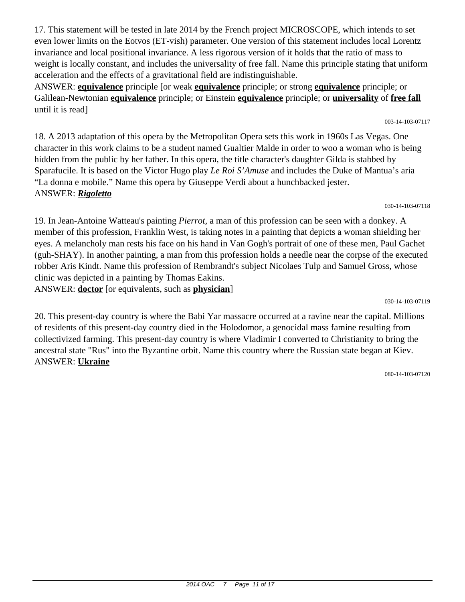17. This statement will be tested in late 2014 by the French project MICROSCOPE, which intends to set even lower limits on the Eotvos (ET-vish) parameter. One version of this statement includes local Lorentz invariance and local positional invariance. A less rigorous version of it holds that the ratio of mass to weight is locally constant, and includes the universality of free fall. Name this principle stating that uniform acceleration and the effects of a gravitational field are indistinguishable.

ANSWER: **equivalence** principle [or weak **equivalence** principle; or strong **equivalence** principle; or Galilean-Newtonian **equivalence** principle; or Einstein **equivalence** principle; or **universality** of **free fall** until it is read]

18. A 2013 adaptation of this opera by the Metropolitan Opera sets this work in 1960s Las Vegas. One character in this work claims to be a student named Gualtier Malde in order to woo a woman who is being hidden from the public by her father. In this opera, the title character's daughter Gilda is stabbed by Sparafucile. It is based on the Victor Hugo play *Le Roi S'Amuse* and includes the Duke of Mantua's aria "La donna e mobile." Name this opera by Giuseppe Verdi about a hunchbacked jester. ANSWER: *Rigoletto*

030-14-103-07118

19. In Jean-Antoine Watteau's painting *Pierrot,* a man of this profession can be seen with a donkey. A member of this profession, Franklin West, is taking notes in a painting that depicts a woman shielding her eyes. A melancholy man rests his face on his hand in Van Gogh's portrait of one of these men, Paul Gachet (guh-SHAY). In another painting, a man from this profession holds a needle near the corpse of the executed robber Aris Kindt. Name this profession of Rembrandt's subject Nicolaes Tulp and Samuel Gross, whose clinic was depicted in a painting by Thomas Eakins. ANSWER: **doctor** [or equivalents, such as **physician**]

030-14-103-07119

20. This present-day country is where the Babi Yar massacre occurred at a ravine near the capital. Millions of residents of this present-day country died in the Holodomor, a genocidal mass famine resulting from collectivized farming. This present-day country is where Vladimir I converted to Christianity to bring the ancestral state "Rus" into the Byzantine orbit. Name this country where the Russian state began at Kiev. ANSWER: **Ukraine**

080-14-103-07120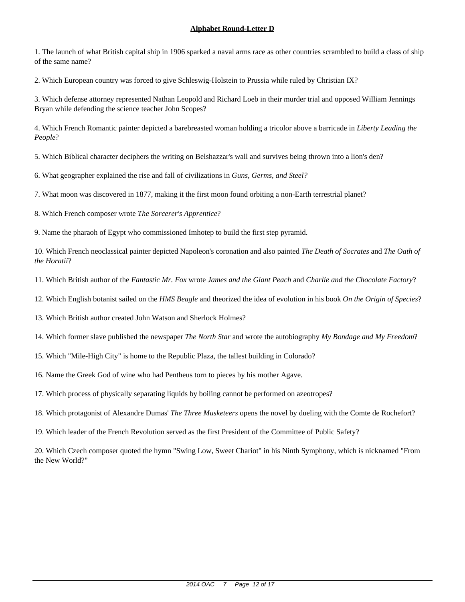1. The launch of what British capital ship in 1906 sparked a naval arms race as other countries scrambled to build a class of ship of the same name?

2. Which European country was forced to give Schleswig-Holstein to Prussia while ruled by Christian IX?

3. Which defense attorney represented Nathan Leopold and Richard Loeb in their murder trial and opposed William Jennings Bryan while defending the science teacher John Scopes?

4. Which French Romantic painter depicted a barebreasted woman holding a tricolor above a barricade in *Liberty Leading the People*?

5. Which Biblical character deciphers the writing on Belshazzar's wall and survives being thrown into a lion's den?

6. What geographer explained the rise and fall of civilizations in *Guns, Germs, and Steel?*

7. What moon was discovered in 1877, making it the first moon found orbiting a non-Earth terrestrial planet?

8. Which French composer wrote *The Sorcerer's Apprentice*?

9. Name the pharaoh of Egypt who commissioned Imhotep to build the first step pyramid.

10. Which French neoclassical painter depicted Napoleon's coronation and also painted *The Death of Socrates* and *The Oath of the Horatii*?

11. Which British author of the *Fantastic Mr. Fox* wrote *James and the Giant Peach* and *Charlie and the Chocolate Factory*?

12. Which English botanist sailed on the *HMS Beagle* and theorized the idea of evolution in his book *On the Origin of Species*?

13. Which British author created John Watson and Sherlock Holmes?

14. Which former slave published the newspaper *The North Star* and wrote the autobiography *My Bondage and My Freedom*?

15. Which "Mile-High City" is home to the Republic Plaza, the tallest building in Colorado?

16. Name the Greek God of wine who had Pentheus torn to pieces by his mother Agave.

17. Which process of physically separating liquids by boiling cannot be performed on azeotropes?

18. Which protagonist of Alexandre Dumas' *The Three Musketeers* opens the novel by dueling with the Comte de Rochefort?

19. Which leader of the French Revolution served as the first President of the Committee of Public Safety?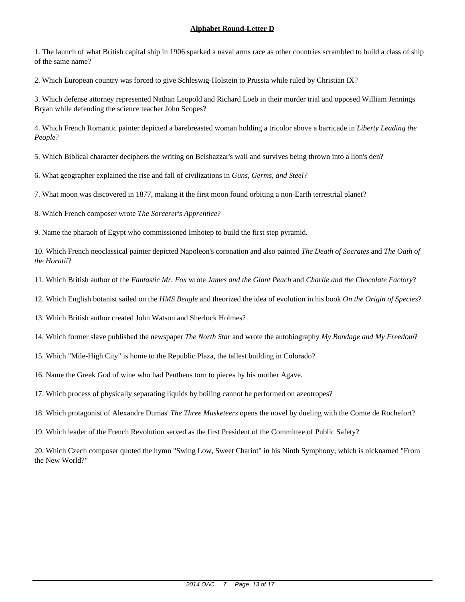1. The launch of what British capital ship in 1906 sparked a naval arms race as other countries scrambled to build a class of ship of the same name?

2. Which European country was forced to give Schleswig-Holstein to Prussia while ruled by Christian IX?

3. Which defense attorney represented Nathan Leopold and Richard Loeb in their murder trial and opposed William Jennings Bryan while defending the science teacher John Scopes?

4. Which French Romantic painter depicted a barebreasted woman holding a tricolor above a barricade in *Liberty Leading the People*?

5. Which Biblical character deciphers the writing on Belshazzar's wall and survives being thrown into a lion's den?

6. What geographer explained the rise and fall of civilizations in *Guns, Germs, and Steel?*

7. What moon was discovered in 1877, making it the first moon found orbiting a non-Earth terrestrial planet?

8. Which French composer wrote *The Sorcerer's Apprentice*?

9. Name the pharaoh of Egypt who commissioned Imhotep to build the first step pyramid.

10. Which French neoclassical painter depicted Napoleon's coronation and also painted *The Death of Socrates* and *The Oath of the Horatii*?

11. Which British author of the *Fantastic Mr. Fox* wrote *James and the Giant Peach* and *Charlie and the Chocolate Factory*?

12. Which English botanist sailed on the *HMS Beagle* and theorized the idea of evolution in his book *On the Origin of Species*?

13. Which British author created John Watson and Sherlock Holmes?

14. Which former slave published the newspaper *The North Star* and wrote the autobiography *My Bondage and My Freedom*?

15. Which "Mile-High City" is home to the Republic Plaza, the tallest building in Colorado?

16. Name the Greek God of wine who had Pentheus torn to pieces by his mother Agave.

17. Which process of physically separating liquids by boiling cannot be performed on azeotropes?

18. Which protagonist of Alexandre Dumas' *The Three Musketeers* opens the novel by dueling with the Comte de Rochefort?

19. Which leader of the French Revolution served as the first President of the Committee of Public Safety?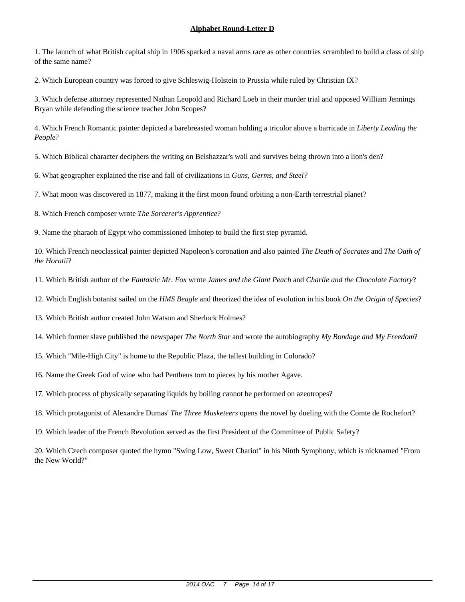1. The launch of what British capital ship in 1906 sparked a naval arms race as other countries scrambled to build a class of ship of the same name?

2. Which European country was forced to give Schleswig-Holstein to Prussia while ruled by Christian IX?

3. Which defense attorney represented Nathan Leopold and Richard Loeb in their murder trial and opposed William Jennings Bryan while defending the science teacher John Scopes?

4. Which French Romantic painter depicted a barebreasted woman holding a tricolor above a barricade in *Liberty Leading the People*?

5. Which Biblical character deciphers the writing on Belshazzar's wall and survives being thrown into a lion's den?

6. What geographer explained the rise and fall of civilizations in *Guns, Germs, and Steel?*

7. What moon was discovered in 1877, making it the first moon found orbiting a non-Earth terrestrial planet?

8. Which French composer wrote *The Sorcerer's Apprentice*?

9. Name the pharaoh of Egypt who commissioned Imhotep to build the first step pyramid.

10. Which French neoclassical painter depicted Napoleon's coronation and also painted *The Death of Socrates* and *The Oath of the Horatii*?

11. Which British author of the *Fantastic Mr. Fox* wrote *James and the Giant Peach* and *Charlie and the Chocolate Factory*?

12. Which English botanist sailed on the *HMS Beagle* and theorized the idea of evolution in his book *On the Origin of Species*?

13. Which British author created John Watson and Sherlock Holmes?

14. Which former slave published the newspaper *The North Star* and wrote the autobiography *My Bondage and My Freedom*?

15. Which "Mile-High City" is home to the Republic Plaza, the tallest building in Colorado?

16. Name the Greek God of wine who had Pentheus torn to pieces by his mother Agave.

17. Which process of physically separating liquids by boiling cannot be performed on azeotropes?

18. Which protagonist of Alexandre Dumas' *The Three Musketeers* opens the novel by dueling with the Comte de Rochefort?

19. Which leader of the French Revolution served as the first President of the Committee of Public Safety?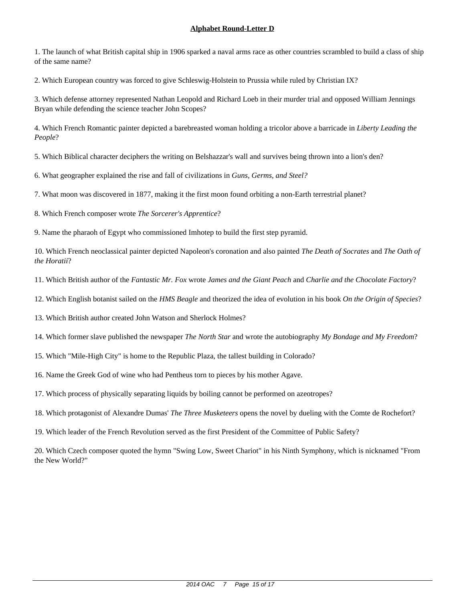1. The launch of what British capital ship in 1906 sparked a naval arms race as other countries scrambled to build a class of ship of the same name?

2. Which European country was forced to give Schleswig-Holstein to Prussia while ruled by Christian IX?

3. Which defense attorney represented Nathan Leopold and Richard Loeb in their murder trial and opposed William Jennings Bryan while defending the science teacher John Scopes?

4. Which French Romantic painter depicted a barebreasted woman holding a tricolor above a barricade in *Liberty Leading the People*?

5. Which Biblical character deciphers the writing on Belshazzar's wall and survives being thrown into a lion's den?

6. What geographer explained the rise and fall of civilizations in *Guns, Germs, and Steel?*

7. What moon was discovered in 1877, making it the first moon found orbiting a non-Earth terrestrial planet?

8. Which French composer wrote *The Sorcerer's Apprentice*?

9. Name the pharaoh of Egypt who commissioned Imhotep to build the first step pyramid.

10. Which French neoclassical painter depicted Napoleon's coronation and also painted *The Death of Socrates* and *The Oath of the Horatii*?

11. Which British author of the *Fantastic Mr. Fox* wrote *James and the Giant Peach* and *Charlie and the Chocolate Factory*?

12. Which English botanist sailed on the *HMS Beagle* and theorized the idea of evolution in his book *On the Origin of Species*?

13. Which British author created John Watson and Sherlock Holmes?

14. Which former slave published the newspaper *The North Star* and wrote the autobiography *My Bondage and My Freedom*?

15. Which "Mile-High City" is home to the Republic Plaza, the tallest building in Colorado?

16. Name the Greek God of wine who had Pentheus torn to pieces by his mother Agave.

17. Which process of physically separating liquids by boiling cannot be performed on azeotropes?

18. Which protagonist of Alexandre Dumas' *The Three Musketeers* opens the novel by dueling with the Comte de Rochefort?

19. Which leader of the French Revolution served as the first President of the Committee of Public Safety?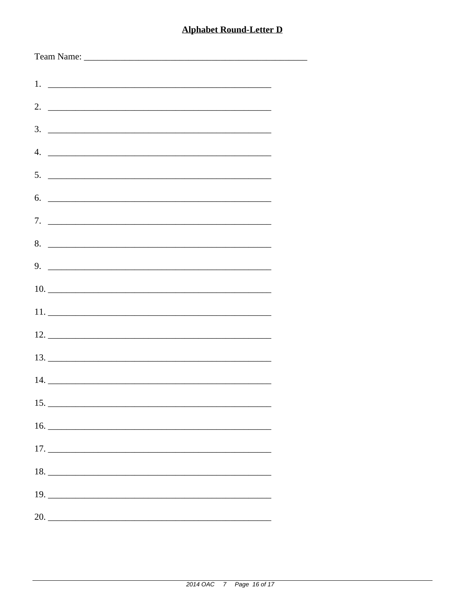| $5.$ $\overline{\phantom{a}}$ |
|-------------------------------|
| 6.                            |
|                               |
| 8.                            |
| $9.$ $\overline{\phantom{a}}$ |
|                               |
|                               |
|                               |
|                               |
|                               |
|                               |
|                               |
|                               |
|                               |
| $17. \_$                      |
|                               |
|                               |
|                               |
| 20.                           |